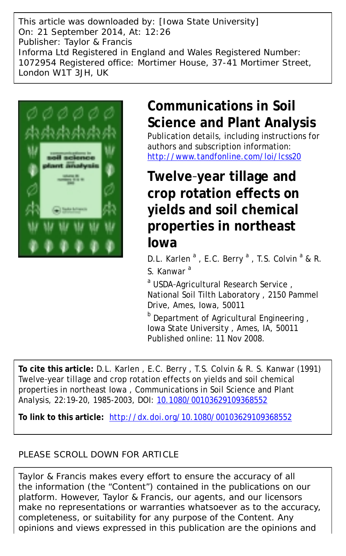This article was downloaded by: [Iowa State University] On: 21 September 2014, At: 12:26 Publisher: Taylor & Francis Informa Ltd Registered in England and Wales Registered Number: 1072954 Registered office: Mortimer House, 37-41 Mortimer Street, London W1T 3JH, UK



# **Communications in Soil Science and Plant Analysis**

Publication details, including instructions for authors and subscription information: <http://www.tandfonline.com/loi/lcss20>

# **Twelve**‐**year tillage and crop rotation effects on yields and soil chemical properties in northeast Iowa**

D.L. Karlen<sup>a</sup>, E.C. Berry<sup>a</sup>, T.S. Colvin<sup>a</sup> & R. S. Kanwar<sup>a</sup>

<sup>a</sup> USDA-Agricultural Research Service, National Soil Tilth Laboratory , 2150 Pammel Drive, Ames, Iowa, 50011

**b** Department of Agricultural Engineering, Iowa State University , Ames, IA, 50011 Published online: 11 Nov 2008.

**To cite this article:** D.L. Karlen , E.C. Berry , T.S. Colvin & R. S. Kanwar (1991) Twelve‐year tillage and crop rotation effects on yields and soil chemical properties in northeast Iowa , Communications in Soil Science and Plant Analysis, 22:19-20, 1985-2003, DOI: [10.1080/00103629109368552](http://www.tandfonline.com/action/showCitFormats?doi=10.1080/00103629109368552)

**To link to this article:** <http://dx.doi.org/10.1080/00103629109368552>

## PLEASE SCROLL DOWN FOR ARTICLE

Taylor & Francis makes every effort to ensure the accuracy of all the information (the "Content") contained in the publications on our platform. However, Taylor & Francis, our agents, and our licensors make no representations or warranties whatsoever as to the accuracy, completeness, or suitability for any purpose of the Content. Any opinions and views expressed in this publication are the opinions and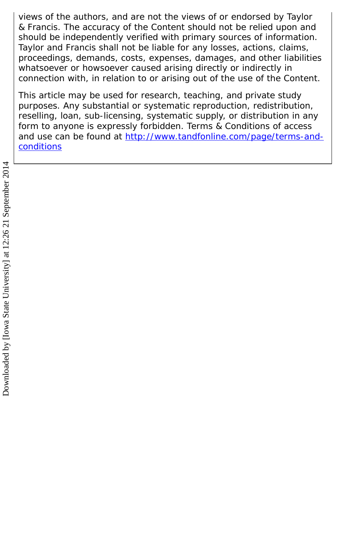views of the authors, and are not the views of or endorsed by Taylor & Francis. The accuracy of the Content should not be relied upon and should be independently verified with primary sources of information. Taylor and Francis shall not be liable for any losses, actions, claims, proceedings, demands, costs, expenses, damages, and other liabilities whatsoever or howsoever caused arising directly or indirectly in connection with, in relation to or arising out of the use of the Content.

This article may be used for research, teaching, and private study purposes. Any substantial or systematic reproduction, redistribution, reselling, loan, sub-licensing, systematic supply, or distribution in any form to anyone is expressly forbidden. Terms & Conditions of access and use can be found at [http://www.tandfonline.com/page/terms-and](http://www.tandfonline.com/page/terms-and-conditions)**[conditions](http://www.tandfonline.com/page/terms-and-conditions)**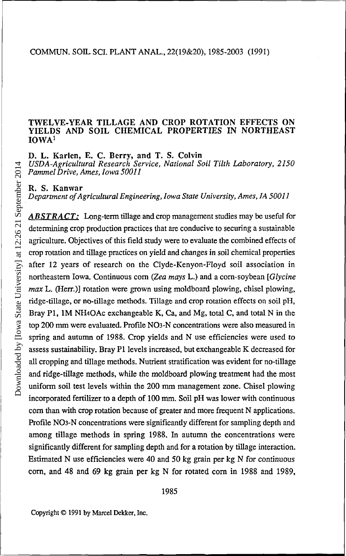#### TWELVE-YEAR TILLAGE AND CROP ROTATION EFFECTS ON YIELDS AND SOIL CHEMICAL PROPERTIES IN NORTHEAST IOWA<sup>1</sup>

D. L. Karlen, E. C. Berry, and T. S. Colvin

*USDA-Agricultural Research Service, National Soil Tilth Laboratory, 2150 Pammel Drive, Ames, Iowa 50011*

R. S. Kanwar

*Department of Agricultural Engineering, Iowa State University, Ames, IA 50011* 

*ABSTRACT:* Long-term tillage and crop management studies may be useful for determining crop production practices that are conducive to securing a sustainable agriculture. Objectives of this field study were to evaluate the combined effects of crop rotation and tillage practices on yield and changes in soil chemical properties after 12 years of research on the Clyde-Kenyon-Floyd soil association in northeastern Iowa. Continuous corn *(Zea mays* L.) and a corn-soybean [*Glycine max* L. (Herr.)] rotation were grown using moldboard plowing, chisel plowing, ridge-tillage, or no-tillage methods. Tillage and crop rotation effects on soil pH, Bray P1, 1M NH4OAc exchangeable K, Ca, and Mg, total C, and total N in the top 200 mm were evaluated. Profile NO3-N concentrations were also measured in spring and autumn of 1988. Crop yields and N use efficiencies were used to assess sustainability. Bray P1 levels increased, but exchangeable K decreased for all cropping and tillage methods. Nutrient stratification was evident for no-tillage and ridge-tillage methods, while the moldboard plowing treatment had the most uniform soil test levels within the 200 mm management zone. Chisel plowing incorporated fertilizer to a depth of 100 mm. Soil pH was lower with continuous corn than with crop rotation because of greater and more frequent N applications. Profile NO3-N concentrations were significantly different for sampling depth and among tillage methods in spring 1988. In autumn the concentrations were significantly different for sampling depth and for a rotation by tillage interaction. Estimated N use efficiencies were 40 and 50 kg grain per kg N for continuous corn, and 48 and 69 kg grain per kg N for rotated corn in 1988 and 1989,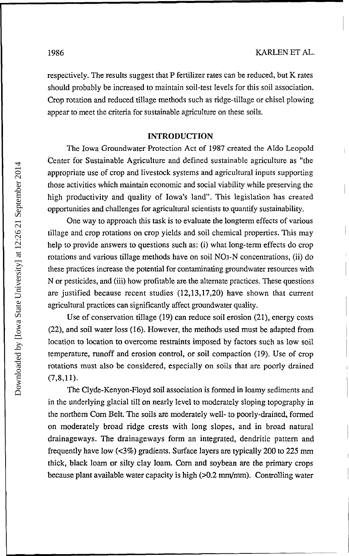respectively. The results suggest that P fertilizer rates can be reduced, but K rates should probably be increased to maintain soil-test levels for this soil association. Crop rotation and reduced tillage methods such as ridge-tillage or chisel plowing appear to meet the criteria for sustainable agriculture on these soils.

#### INTRODUCTION

The Iowa Groundwater Protection Act of 1987 created the Aldo Leopold Center for Sustainable Agriculture and defined sustainable agriculture as "the appropriate use of crop and livestock systems and agricultural inputs supporting those activities which maintain economic and social viability while preserving the high productivity and quality of Iowa's land". This legislation has created opportunities and challenges for agricultural scientists to quantify sustainability.

One way to approach this task is to evaluate the longterm effects of various tillage and crop rotations on crop yields and soil chemical properties. This may help to provide answers to questions such as: (i) what long-term effects do crop rotations and various tillage methods have on soil N03-N concentrations, (ii) do these practices increase the potential for contaminating groundwater resources with N or pesticides, and (iii) how profitable are the alternate practices. These questions are justified because recent studies (12,13,17,20) have shown that current agricultural practices can significantly affect groundwater quality.

Use of conservation tillage (19) can reduce soil erosion (21), energy costs (22), and soil water loss (16). However, the methods used must be adapted from location to location to overcome restraints imposed by factors such as low soil temperature, runoff and erosion control, or soil compaction (19). Use of crop rotations must also be considered, especially on soils that are poorly drained  $(7,8,11)$ .

The Clyde-Kenyon-Floyd soil association is formed in loamy sediments and in the underlying glacial till on nearly level to moderately sloping topography in the northern Corn Belt. The soils are moderately well- to poorly-drained, formed on moderately broad ridge crests with long slopes, and in broad natural drainageways. The drainageways form an integrated, dendritic pattern and frequently have low (<3%) gradients. Surface layers are typically 200 to 225 mm thick, black loam or silty clay loam. Corn and soybean are the primary crops because plant available water capacity is high (>0.2 mm/mm). Controlling water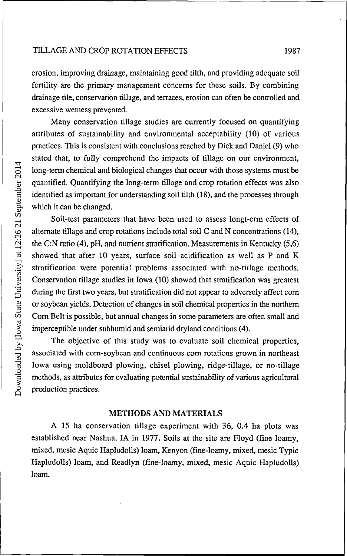erosion, improving drainage, maintaining good tilth, and providing adequate soil fertility are the primary management concerns for these soils. By combining drainage tile, conservation tillage, and terraces, erosion can often be controlled and excessive wetness prevented.

Many conservation tillage studies are currently focused on quantifying attributes of sustainability and environmental acceptability (10) of various practices. This is consistent with conclusions reached by Dick and Daniel (9) who stated that, to fully comprehend the impacts of tillage on our environment, long-term chemical and biological changes that occur with those systems must be quantified. Quantifying the long-term tillage and crop rotation effects was also identified as important for understanding soil tilth (18), and the processes through which it can be changed.

Soil-test parameters that have been used to assess longt-erm effects of alternate tillage and crop rotations include total soil C and N concentrations (14), the C:N ratio (4), pH, and nutrient stratification. Measurements in Kentucky (5,6) showed that after 10 years, surface soil acidification as well as P and K stratification were potential problems associated with no-tillage methods. Conservation tillage studies in Iowa (10) showed that stratification was greatest during the first two years, but stratification did not appear to adversely affect corn or soybean yields. Detection of changes in soil chemical properties in the northern Corn Belt is possible, but annual changes in some parameters are often small and imperceptible under subhumid and semiarid dryland conditions (4).

The objective of this study was to evaluate soil chemical properties, associated with corn-soybean and continuous corn rotations grown in northeast Iowa using moldboard plowing, chisel plowing, ridge-tillage, or no-tillage methods, as attributes for evaluating potential sustainability of various agricultural production practices.

#### METHODS AND MATERIALS

A 15 ha conservation tillage experiment with 36, 0.4 ha plots was established near Nashua, IA in 1977. Soils at the site are Floyd (fine loamy, mixed, mesic Aquic Hapludolls) loam, Kenyon (fine-loamy, mixed, mesic Typic Hapludolls) loam, and Readlyn (fine-loamy, mixed, mesic Aquic Hapludolls) loam.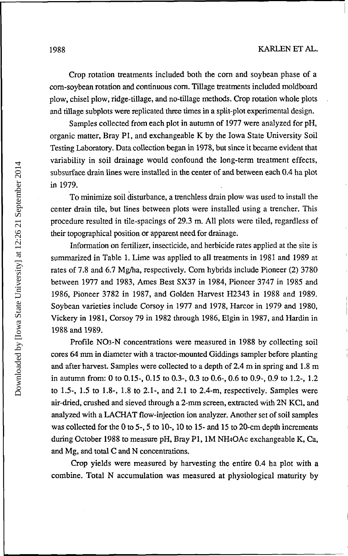Crop rotation treatments included both the corn and soybean phase of a corn-soybean rotation and continuous corn. Tillage treatments included moldboard plow, chisel plow, ridge-tillage, and no-tillage methods. Crop rotation whole plots and tillage subplots were replicated three times in a split-plot experimental design.

Samples collected from each plot in autumn of 1977 were analyzed for pH, organic matter, Bray PI, and exchangeable K by the Iowa State University Soil Testing Laboratory. Data collection began in 1978, but since it became evident that variability in soil drainage would confound the long-term treatment effects, subsurface drain lines were installed in the center of and between each 0.4 ha plot in 1979.

To minimize soil disturbance, a trenchless drain plow was used to install the center drain tile, but lines between plots were installed using a trencher. This procedure resulted in tile-spacings of 29.3 m. All plots were tiled, regardless of their topographical position or apparent need for drainage.

Information on fertilizer, insecticide, and herbicide rates applied at the site is summarized in Table 1. Lime was applied to all treatments in 1981 and 1989 at rates of 7.8 and 6.7 Mg/ha, respectively. Corn hybrids include Pioneer (2) 3780 between 1977 and 1983, Ames Best SX37 in 1984, Pioneer 3747 in 1985 and 1986, Pioneer 3782 in 1987, and Golden Harvest H2343 in 1988 and 1989. Soybean varieties include Corsoy in 1977 and 1978, Harcor in 1979 and 1980, Vickery in 1981, Corsoy 79 in 1982 through 1986, Elgin in 1987, and Hardin in 1988 and 1989.

Profile NO3-N concentrations were measured in 1988 by collecting soil cores 64 mm in diameter with a tractor-mounted Giddings sampler before planting and after harvest. Samples were collected to a depth of 2.4 m in spring and 1.8 m in autumn from: 0 to 0.15-, 0.15 to 0.3-, 0.3 to 0.6-, 0.6 to 0.9-, 0.9 to 1.2-, 1.2 to 1.5-, 1.5 to 1.8-, 1.8 to 2.1-, and 2.1 to 2.4-m, respectively. Samples were air-dried, crushed and sieved through a 2-mm screen, extracted with 2N KC1, and analyzed with a LACHAT flow-injection ion analyzer. Another set of soil samples was collected for the 0 to 5-, 5 to 10-, 10 to 15- and 15 to 20-cm depth increments during October 1988 to measure pH, Bray P1, 1M NH4OAc exchangeable K, Ca, and Mg, and total C and N concentrations.

Crop yields were measured by harvesting the entire 0.4 ha plot with a combine. Total N accumulation was measured at physiological maturity by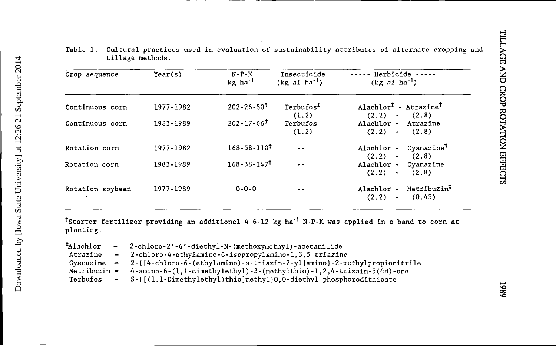| Crop sequence    | Year(s)   | $N-P-K$<br>kg ha <sup>-1</sup> | Insecticide<br>$(kg \text{ ai ha}^{\dagger})$ | ----- Herbicide -----<br>$(kg ai ha-1)$                                                                  |
|------------------|-----------|--------------------------------|-----------------------------------------------|----------------------------------------------------------------------------------------------------------|
| Continuous corn  | 1977-1982 | $202 - 26 - 50$                | Terbufos <sup>‡</sup><br>(1.2)                | Alachlor <sup><math>\ddagger</math></sup> - Atrazine <sup><math>\ddagger</math></sup><br>$(2.2) - (2.8)$ |
| Continuous corn  | 1983-1989 | $202 - 17 - 66$                | Terbufos<br>(1.2)                             | Alachlor - Atrazine<br>$(2.2)$ (2.8)                                                                     |
| Rotation corn    | 1977-1982 | $168 - 58 - 110^{\dagger}$     |                                               | $Cyanazine+$<br>Alachlor -<br>$(2.2)$ (2.8)                                                              |
| Rotation corn    | 1983-1989 | $168 - 38 - 147$               | $\sim$ $\sim$                                 | Alachlor - Cyanazine<br>$(2.2)$ (2.8)                                                                    |
| Rotation soybean | 1977-1989 | $0 - 0 - 0$                    |                                               | Metribuzin <sup>7</sup><br>Alachlor -<br>$(2.2) -$<br>(0.45)                                             |

Table 1. Cultural practices used in evaluation of sustainability attributes of alternate cropping and tillage methods.

^Starter fertilizer providing an additional 4-6-12 kg ha-1 N-P-K was applied in a band to corn at planting.

| $t$ Alachlor | - 2-chloro-2'-6'-diethyl-N-(methoxymethyl)-acetanilide                                                          |
|--------------|-----------------------------------------------------------------------------------------------------------------|
| Atrazine     | - 2-chloro-4-ethylamino-6-isopropylamino-1.3.5 triazine                                                         |
|              | Cyanazine $-2-(14{\text{-}chloro-6-(ethylamino)}-s{\text{-}triazin-2-yl]}amino}-2{\text{-}methylpropionitrile}$ |
|              | Metribuzin $=$ 4-amino-6-(1,1-dimethylethyl)-3-(methylthio)-1,2,4-trizain-5(4H)-one                             |
| Terbufos     | - S-([(1.1-Dimethylethyl)thio]methyl)0,0-diethyl phosphorodithioate                                             |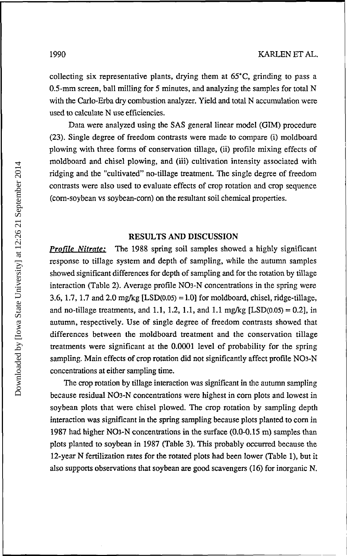collecting six representative plants, drying them at 65°C, grinding to pass a 0.5-mm screen, ball milling for 5 minutes, and analyzing the samples for total N with the Carlo-Erba dry combustion analyzer. Yield and total N accumulation were used to calculate N use efficiencies.

Data were analyzed using the SAS general linear model (GIM) procedure (23). Single degree of freedom contrasts were made to compare (i) moldboard plowing with three forms of conservation tillage, (ii) profile mixing effects of moldboard and chisel plowing, and (iii) cultivation intensity associated with ridging and the "cultivated" no-tillage treatment. The single degree of freedom contrasts were also used to evaluate effects of crop rotation and crop sequence (corn-soybean vs soybean-corn) on the resultant soil chemical properties.

### **RESULTS AND DISCUSSION**

*Profile Nitrate:* The 1988 spring soil samples showed a highly significant response to tillage system and depth of sampling, while the autumn samples showed significant differences for depth of sampling and for the rotation by tillage interaction (Table 2). Average profile N03-N concentrations in the spring were 3.6, 1.7, 1.7 and 2.0 mg/kg  $[LSD(0.05) = 1.0]$  for moldboard, chisel, ridge-tillage, and no-tillage treatments, and 1.1, 1.2, 1.1, and 1.1 mg/kg [LSD(0.05) = 0.2], in autumn, respectively. Use of single degree of freedom contrasts showed that differences between the moldboard treatment and the conservation tillage treatments were significant at the 0.0001 level of probability for the spring sampling. Main effects of crop rotation did not significantly affect profile NO3-N concentrations at either sampling time.

The crop rotation by tillage interaction was significant in the autumn sampling because residual N03-N concentrations were highest in corn plots and lowest in soybean plots that were chisel plowed. The crop rotation by sampling depth interaction was significant in the spring sampling because plots planted to corn in 1987 had higher N03-N concentrations in the surface (0.0-0.15 m) samples than plots planted to soybean in 1987 (Table 3). This probably occurred because the 12-year N fertilization rates for the rotated plots had been lower (Table 1), but it also supports observations that soybean are good scavengers (16) for inorganic N.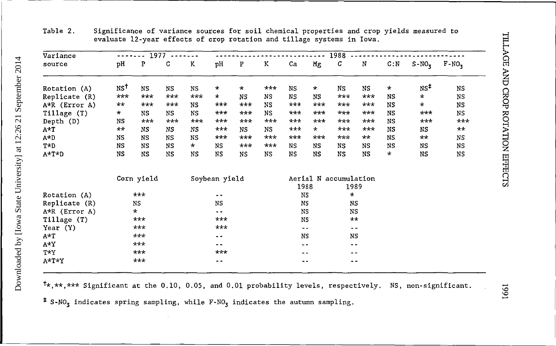| ,                                                   |
|-----------------------------------------------------|
|                                                     |
| ֧֪֪֪֪֪֪֪֪֪֪֪֪֪֪֪֪֪֪֝ <b>֓</b><br>֧֪֪֪֪֪֪֪֪֪֪֪֝<br>j |
| ֧֧ׅ֧֛֓֜֜֓֜                                          |
| İ                                                   |

Table 2. Significance of variance sources for soil chemical properties and crop yields measured to evaluate 12-year effects of crop rotation and tillage systems in Iowa.

| Variance      | 1977<br>-----      |            |           | 1988      |               |           |       |            |           |                       |           |           |                 |              |
|---------------|--------------------|------------|-----------|-----------|---------------|-----------|-------|------------|-----------|-----------------------|-----------|-----------|-----------------|--------------|
| source        | pH                 | P          | С         | K         | pH            | P         | K     | Ca         | Mg        | C                     | N         | C: N      | $S-NO3$         | $F-NO_3$     |
| Rotation (A)  | $N S$ <sup>t</sup> | <b>NS</b>  | NS.       | <b>NS</b> | $\star$       | $^\star$  | ***   | <b>NS</b>  | $\star$   | <b>NS</b>             | NS        | $\star$   | NS <sup>±</sup> | NS           |
| Replicate (R) | $***$              | $***$      | $***$     | $***$     | *             | <b>NS</b> | NS.   | NS.        | <b>NS</b> | $***$                 | $***$     | NS        | $\star$         | NS           |
| A*R (Error A) | $\star\star$       | $***$      | ***       | NS        | ***           | ***       | NS    | ***        | $***$     | ***                   | ***       | NS        | $\star$         | NS           |
| Tillage (T)   | $\star$            | NS         | <b>NS</b> | <b>NS</b> | ***           | $***$     | NS.   | $***$      | ***       | $***$                 | ***       | NS        | $***$           | NS           |
| Depth (D)     | NS                 | $***$      | $***$     | $***$     | $***$         | ***       | $***$ | $***$      | $***$     | $***$                 | ***       | NS        | $***$           | ***          |
| A*T           | $**$               | NS         | NS        | NS        | $***$         | NS.       | NS    | $***$      | $\star$   | ***                   | $***$     | <b>NS</b> | NS              | $\star\star$ |
| $A*D$         | NS                 | <b>NS</b>  | NS        | <b>NS</b> | ***           | $***$     | $***$ | ***        | $***$     | $***$                 | $***$     | NS        | $**$            | NS           |
| $T*D$         | NS                 | <b>NS</b>  | NS        | $\star$   | <b>NS</b>     | $***$     | $***$ | NS.        | NS.       | NS.                   | NS.       | NS        | NS              | <b>NS</b>    |
| A*T*D         | NS                 | NS         | NS        | NS        | NS            | NS        | NS    | NS         | NS        | <b>NS</b>             | <b>NS</b> | $\star$   | NS              | NS           |
|               |                    | Corn yield |           |           | Soybean yield |           |       |            |           | Aerial N accumulation |           |           |                 |              |
|               |                    |            |           |           |               |           |       | 1988       |           | 1989                  |           |           |                 |              |
| Rotation (A)  |                    | $***$      |           |           | - -           |           |       | <b>NS</b>  |           | $\star$               |           |           |                 |              |
| Replicate (R) |                    | NS         |           |           | <b>NS</b>     |           |       | NS         |           | NS.                   |           |           |                 |              |
| A*R (Error A) |                    | *          |           |           |               |           |       | NS         |           | <b>NS</b>             |           |           |                 |              |
| Tillage (T)   |                    | ***        |           |           | $***$         |           |       | NS         |           | $\star\star$          |           |           |                 |              |
| Year $(Y)$    |                    | $***$      |           |           | ***           |           |       | $\sim$ $-$ |           | $ -$                  |           |           |                 |              |
| $A \star T$   |                    | $***$      |           |           | $ -$          |           |       | NS         |           | NS                    |           |           |                 |              |
| $A*Y$         |                    | $***$      |           |           | $- -$         |           |       | --         |           | $- -$                 |           |           |                 |              |
| T*Y           |                    | ***        |           |           | $***$         |           |       | $ -$       |           | . .                   |           |           |                 |              |
| A*T*Y         |                    | $***$      |           |           | - -           |           |       | $- -$      |           | - -                   |           |           |                 |              |

 $t*,***$  Significant at the 0.10, 0.05, and 0.01 probability levels, respectively. NS, non-significant.

 $*$  S-NO<sub>3</sub> indicates spring sampling, while F-NO<sub>3</sub> indicates the autumn sampling.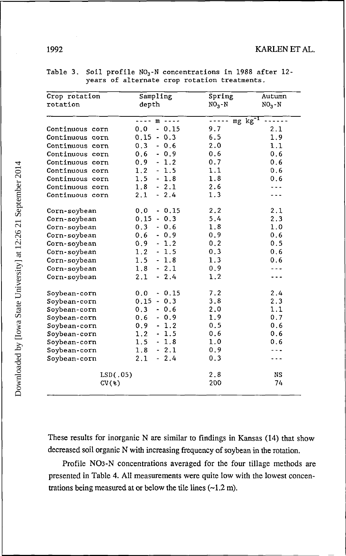| Crop rotation   | Sampling                                                                                                                                                                                                                                                                                                                                                                                                              | Spring                  | Autumn    |
|-----------------|-----------------------------------------------------------------------------------------------------------------------------------------------------------------------------------------------------------------------------------------------------------------------------------------------------------------------------------------------------------------------------------------------------------------------|-------------------------|-----------|
| rotation        | depth                                                                                                                                                                                                                                                                                                                                                                                                                 | $NO3 - N$               | $NO3 - N$ |
|                 | $\frac{1}{2} \frac{1}{2} \frac{1}{2} \frac{1}{2} \frac{1}{2} \frac{1}{2} \frac{1}{2} \frac{1}{2} \frac{1}{2} \frac{1}{2} \frac{1}{2} \frac{1}{2} \frac{1}{2} \frac{1}{2} \frac{1}{2} \frac{1}{2} \frac{1}{2} \frac{1}{2} \frac{1}{2} \frac{1}{2} \frac{1}{2} \frac{1}{2} \frac{1}{2} \frac{1}{2} \frac{1}{2} \frac{1}{2} \frac{1}{2} \frac{1}{2} \frac{1}{2} \frac{1}{2} \frac{1}{2} \frac{$<br>$m \rightarrow - - -$ | $mg$ $kg^{-1}$<br>----- |           |
| Continuous corn | 0.0<br>$-0.15$                                                                                                                                                                                                                                                                                                                                                                                                        | 9.7                     | 2.1       |
| Continuous corn | $0.15 - 0.3$                                                                                                                                                                                                                                                                                                                                                                                                          | 6.5                     | 1.9       |
| Continuous corn | 0.3<br>$-0.6$                                                                                                                                                                                                                                                                                                                                                                                                         | 2.0                     | 1.1       |
| Continuous corn | 0.6<br>$-0.9$                                                                                                                                                                                                                                                                                                                                                                                                         | 0.6                     | 0.6       |
| Continuous corn | 0.9<br>$-1.2$                                                                                                                                                                                                                                                                                                                                                                                                         | 0.7                     | 0.6       |
| Continuous corn | 1.2<br>$-1.5$                                                                                                                                                                                                                                                                                                                                                                                                         | 1.1                     | 0.6       |
| Continuous corn | 1.5<br>$-1.8$                                                                                                                                                                                                                                                                                                                                                                                                         | 1.8                     | 0.6       |
| Continuous corn | 1.8<br>$-2.1$                                                                                                                                                                                                                                                                                                                                                                                                         | 2.6                     |           |
| Continuous corn | 2.1<br>$-2.4$                                                                                                                                                                                                                                                                                                                                                                                                         | 1.3                     |           |
| Corn-soybean    | $-0.15$<br>0.0                                                                                                                                                                                                                                                                                                                                                                                                        | 2.2                     | 2.1       |
| Corn-soybean    | $0.15 - 0.3$                                                                                                                                                                                                                                                                                                                                                                                                          | 5.4                     | 2.3       |
| Corn-soybean    | 0.3<br>$-0.6$                                                                                                                                                                                                                                                                                                                                                                                                         | 1.8                     | 1.0       |
| Corn-soybean    | 0.6<br>$-0.9$                                                                                                                                                                                                                                                                                                                                                                                                         | 0.9                     | 0.6       |
| Corn-soybean    | 0.9<br>$-1.2$                                                                                                                                                                                                                                                                                                                                                                                                         | 0.2                     | 0.5       |
| Corn-soybean    | $-1.5$<br>1.2                                                                                                                                                                                                                                                                                                                                                                                                         | 0.3                     | 0.6       |
| Corn-soybean    | 1.5<br>$-1.8$                                                                                                                                                                                                                                                                                                                                                                                                         | 1.3                     | 0.6       |
| Corn-soybean    | 1.8<br>$-2.1$                                                                                                                                                                                                                                                                                                                                                                                                         | 0.9                     |           |
| Corn-soybean    | 2.1<br>$-2.4$                                                                                                                                                                                                                                                                                                                                                                                                         | 1.2                     |           |
| Soybean-corn    | $-0.15$<br>0.0                                                                                                                                                                                                                                                                                                                                                                                                        | 7.2                     | 2.4       |
| Soybean-corn    | $0.15 - 0.3$                                                                                                                                                                                                                                                                                                                                                                                                          | 3.8                     | 2.3       |
| Soybean-corn    | 0.3<br>$-0.6$                                                                                                                                                                                                                                                                                                                                                                                                         | 2.0                     | 1.1       |
| Soybean-corn    | 0.6<br>$-0.9$                                                                                                                                                                                                                                                                                                                                                                                                         | 1.9                     | 0.7       |
| Soybean-corn    | $-1.2$<br>0.9                                                                                                                                                                                                                                                                                                                                                                                                         | 0.5                     | 0.6       |
| Soybean-corn    | 1.2<br>$-1.5$                                                                                                                                                                                                                                                                                                                                                                                                         | 0.6                     | 0.6       |
| Soybean-corn    | 1.5<br>$-1.8$                                                                                                                                                                                                                                                                                                                                                                                                         | 1.0                     | 0.6       |
| Soybean-corn    | 1.8<br>$-2.1$                                                                                                                                                                                                                                                                                                                                                                                                         | 0.9                     |           |
| Soybean-corn    | 2.1<br>$-2.4$                                                                                                                                                                                                                                                                                                                                                                                                         | 0.3                     |           |
| LSD(.05)        |                                                                                                                                                                                                                                                                                                                                                                                                                       | 2.8                     | <b>NS</b> |
| CV(%)           |                                                                                                                                                                                                                                                                                                                                                                                                                       | 200                     | 74        |

| Table 3. Soil profile NO <sub>3</sub> -N concentrations in 1988 after 12- |
|---------------------------------------------------------------------------|
| years of alternate crop rotation treatments.                              |

These results for inorganic N are similar to findings in Kansas (14) that show decreased soil organic N with increasing frequency of soybean in the rotation.

Profile NO3-N concentrations averaged for the four tillage methods are presented in Table 4. All measurements were quite low with the lowest concentrations being measured at or below the tile lines  $(-1.2 \text{ m})$ .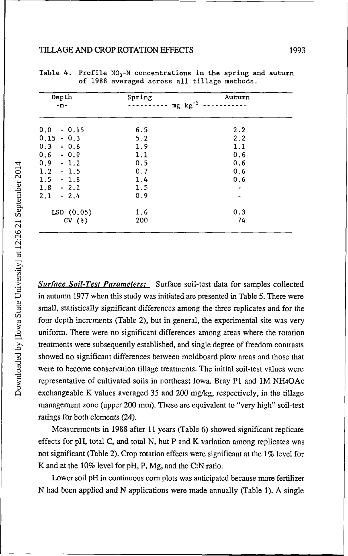#### TILLAGE AND CROP ROTATION EFFECTS 1993

| Spring<br>$mg$ $kg^{-1}$ | Autumn |
|--------------------------|--------|
| 6.5                      | 2.2    |
| 5.2                      | 2.2    |
| 1.9                      | 1.1    |
| 1.1                      | 0.6    |
| 0.5                      | 0.6    |
| 0.7                      | 0.6    |
| 1.4                      | 0.6    |
| 1.5                      | -      |
| 0.9                      |        |
| 1.6                      | 0.3    |
| 200                      | 74     |
|                          |        |

Table 4. Profile  $NO<sub>3</sub>$ -N concentrations in the spring and autumn of 1988 averaged across all tillage methods.

*Surface Soil-Test Parameters:* Surface soil-test data for samples collected in autumn 1977 when this study was initiated are presented in Table 5. There were small, statistically significant differences among the three replicates and for the four depth increments (Table 2), but in general, the experimental site was very uniform. There were no significant differences among areas where the rotation treatments were subsequently established, and single degree of freedom contrasts showed no significant differences between moldboard plow areas and those that were to become conservation tillage treatments. The initial soil-test values were representative of cultivated soils in northeast Iowa. Bray P1 and 1M NH4OAc exchangeable K values averaged 35 and 200 mg/kg, respectively, in the tillage management zone (upper 200 mm). These are equivalent to "very high" soil-test ratings for both elements (24).

Measurements in 1988 after 11 years (Table 6) showed significant replicate effects for pH, total C, and total N, but P and K variation among replicates was not significant (Table 2). Crop rotation effects were significant at the 1% level for K and at the 10% level for pH, P, Mg, and the C:N ratio.

Lower soil pH in continuous corn plots was anticipated because more fertilizer N had been applied and N applications were made annually (Table 1). A single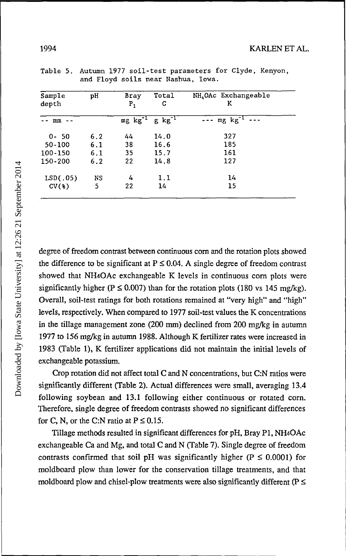| Sample<br>depth | рH  | Bray<br>$P_{1}$ | Total<br>c          | NH <sub>4</sub> OAc Exchangeable<br>ĸ |
|-----------------|-----|-----------------|---------------------|---------------------------------------|
| mm              |     | $mg$ $kg^{-1}$  | $g \text{ kg}^{-1}$ | $--$ mg $kg^{-1}$                     |
| $0 - 50$        | 6.2 | 44              | 14.0                | 327                                   |
| 50-100          | 6.1 | 38              | 16.6                | 185                                   |
| 100-150         | 6.1 | 35              | 15.7                | 161                                   |
| 150-200         | 6.2 | 22              | 14.8                | 127                                   |
| LSD(.05)        | NS  | 4               | 1.1                 | 14                                    |
| CV(8)           | 5   | 22              | 14                  | 15                                    |

Table 5. Autumn 1977 soil-test parameters for Clyde, Kenyon, and Floyd soils near Nashua, Iowa.

degree of freedom contrast between continuous corn and the rotation plots showed the difference to be significant at  $P \le 0.04$ . A single degree of freedom contrast showed that NH4OAc exchangeable K levels in continuous corn plots were significantly higher ( $P \le 0.007$ ) than for the rotation plots (180 vs 145 mg/kg). Overall, soil-test ratings for both rotations remained at "very high" and "high" levels, respectively. When compared to 1977 soil-test values the K concentrations in the tillage management zone (200 mm) declined from 200 mg/kg in autumn 1977 to 156 mg/kg in autumn 1988. Although K fertilizer rates were increased in 1983 (Table 1), K fertilizer applications did not maintain the initial levels of exchangeable potassium.

Crop rotation did not affect total C and N concentrations, but C:N ratios were significantly different (Table 2). Actual differences were small, averaging 13.4 following soybean and 13.1 following either continuous or rotated corn. Therefore, single degree of freedom contrasts showed no significant differences for C, N, or the C:N ratio at  $P \le 0.15$ .

Tillage methods resulted in significant differences for pH, Bray PI, NH4OAc exchangeable Ca and Mg, and total C and N (Table 7). Single degree of freedom contrasts confirmed that soil pH was significantly higher ( $P \le 0.0001$ ) for moldboard plow than lower for the conservation tillage treatments, and that moldboard plow and chisel-plow treatments were also significantly different ( $P \leq$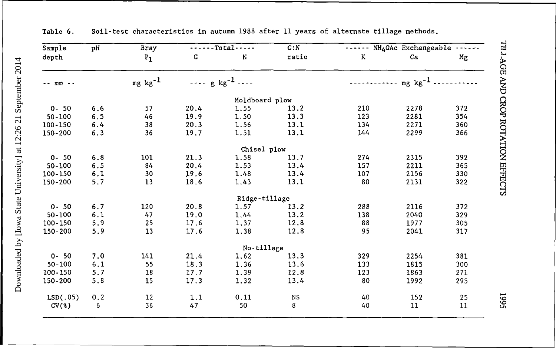| pH<br>Sample              |       | $-Total$<br><b>Bray</b> |      | C: N                                 | NH <sub>4</sub> OAc Exchangeable ------ |     |              |     |
|---------------------------|-------|-------------------------|------|--------------------------------------|-----------------------------------------|-----|--------------|-----|
| depth                     |       | $P_1$                   | C    | N                                    | ratio                                   | K   | Ca           | Mg  |
| $mm - -$<br>$\sim$ $\sim$ |       | $mg kg^{-1}$            |      | $\cdots$ g kg <sup>-1</sup> $\cdots$ |                                         |     | $mg kg^{-1}$ |     |
|                           |       |                         |      |                                      |                                         |     |              |     |
|                           |       |                         |      | Moldboard plow                       |                                         |     |              |     |
| $0 - 50$                  | 6.6   | 57                      | 20,4 | 1.55                                 | 13.2                                    | 210 | 2278         | 372 |
| 50-100                    | 6.5   | 46                      | 19.9 | 1.50                                 | 13.3                                    | 123 | 2281         | 354 |
| 100-150                   | 6.4   | 38                      | 20.3 | 1.56                                 | 13.1                                    | 134 | 2271         | 360 |
| 150-200                   | 6.3   | 36                      | 19.7 | 1.51                                 | 13.1                                    | 144 | 2299         | 366 |
|                           |       |                         |      | Chisel plow                          |                                         |     |              |     |
| $0 - 50$                  | $6.8$ | 101                     | 21.3 | 1.58                                 | 13.7                                    | 274 | 2315         | 392 |
| 50-100                    | 6.5   | 84                      | 20.4 | 1.53                                 | 13.4                                    | 157 | 2211         | 365 |
| 100-150                   | 6.1   | 30                      | 19.6 | 1.48                                 | 13.4                                    | 107 | 2156         | 330 |
| 150-200                   | 5.7   | 13                      | 18.6 | 1.43                                 | 13.1                                    | 80  | 2131         | 322 |
|                           |       |                         |      | Ridge-tillage                        |                                         |     |              |     |
| $0 - 50$                  | 6.7   | 120                     | 20.8 | 1.57                                 | 13.2                                    | 288 | 2116         | 372 |
| $50 - 100$                | 6.1   | 47                      | 19.0 | 1.44                                 | 13.2                                    | 138 | 2040         | 329 |
| 100-150                   | 5.9   | 25                      | 17.6 | 1,37                                 | 12.8                                    | 88  | 1977         | 305 |
| 150-200                   | 5.9   | 13                      | 17.6 | 1,38                                 | 12.8                                    | 95  | 2041         | 317 |
|                           |       |                         |      | No-tillage                           |                                         |     |              |     |
| $0 - 50$                  | 7.0   | 141                     | 21.4 | 1.62                                 | 13.3                                    | 329 | 2254         | 381 |
| $50 - 100$                | 6.1   | 55                      | 18.3 | 1.36                                 | 13.6                                    | 133 | 1815         | 300 |
| 100-150                   | 5.7   | 18                      | 17.7 | 1,39                                 | 12.8                                    | 123 | 1863         | 271 |
| 150-200                   | 5.8   | 15                      | 17.3 | 1.32                                 | 13.4                                    | 80  | 1992         | 295 |
| LSD(.05)                  | 0.2   | $12\,$                  | 1.1  | 0.11                                 | NS                                      | 40  | 152          | 25  |
| CV(3)                     | 6     | 36                      | 47   | 50                                   | 8                                       | 40  | 11           | 11  |

Downloaded by [Iowa State University] at 12:26 21 September 2014 Downloaded by [Iowa State University] at 12:26 21 September 2014

Table 6. Soil-test characteristics in autumn 1988 after 11 years of alternate tillage methods.

5661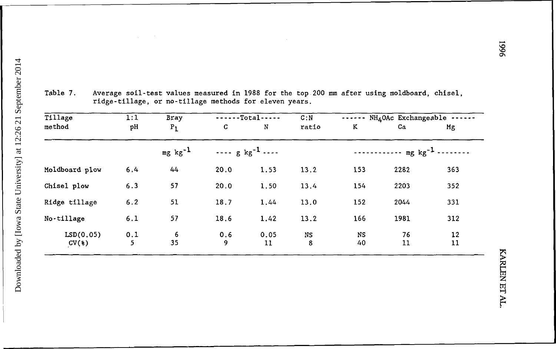| Tillage            | 1:1      | Bray           | $---Total---$ |                                      | C: N    | NH <sub>4</sub> OAc Exchangeable - |                                                      |          |  |
|--------------------|----------|----------------|---------------|--------------------------------------|---------|------------------------------------|------------------------------------------------------|----------|--|
| method             | pH       | $P_1$          | C             | N                                    | ratio   | K                                  | Ca                                                   | Mg       |  |
|                    |          | $mg$ $kg^{-1}$ |               | $\cdots$ g kg <sup>-1</sup> $\cdots$ |         |                                    | $\cdots$ $\cdots$ $\cdots$ $\cdots$ $\log$ $kg^{-1}$ |          |  |
| Moldboard plow     | 6.4      | 44             | 20.0          | 1.53                                 | 13.2    | 153                                | 2282                                                 | 363      |  |
| Chisel plow        | 6.3      | 57             | 20.0          | 1.50                                 | 13.4    | 154                                | 2203                                                 | 352      |  |
| Ridge tillage      | 6.2      | 51             | 18.7          | 1.44                                 | 13.0    | 152                                | 2044                                                 | 331      |  |
| No-tillage         | 6.1      | 57             | 18.6          | 1.42                                 | 13.2    | 166                                | 1981                                                 | 312      |  |
| LSD(0.05)<br>CV(3) | 0.1<br>5 | 6<br>35        | 0.6<br>9      | 0.05<br>11                           | NS<br>8 | NS<br>40                           | 76<br>11                                             | 12<br>11 |  |

Table 7. Average soil-test values measured in 1988 for the top 200 mm after using moldboard, chisel, ridge-tillage, or no-tillage methods for eleven years.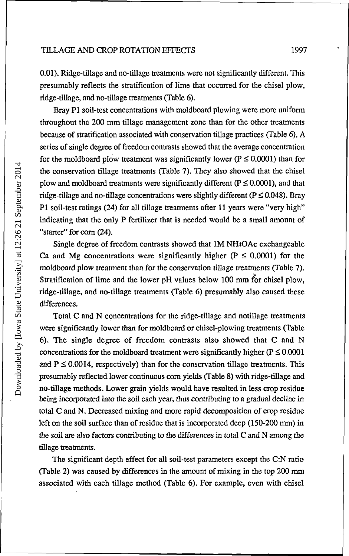0.01). Ridge-tillage and no-tillage treatments were not significantly different. This presumably reflects the stratification of lime that occurred for the chisel plow, ridge-tillage, and no-tillage treatments (Table 6).

Bray PI soil-test concentrations with moldboard plowing were more uniform throughout the 200 mm tillage management zone than for the other treatments because of stratification associated with conservation tillage practices (Table 6). A series of single degree of freedom contrasts showed that the average concentration for the moldboard plow treatment was significantly lower ( $P \le 0.0001$ ) than for the conservation tillage treatments (Table 7). They also showed that the chisel plow and moldboard treatments were significantly different ( $P \le 0.0001$ ), and that ridge-tillage and no-tillage concentrations were slightly different ( $P \le 0.048$ ). Bray PI soil-test ratings (24) for all tillage treatments after 11 years were "very high" indicating that the only P fertilizer that is needed would be a small amount of "starter" for corn (24).

Single degree of freedom contrasts showed that 1M NH4OAc exchangeable Ca and Mg concentrations were significantly higher ( $P \le 0.0001$ ) for the moldboard plow treatment than for the conservation tillage treatments (Table 7). Stratification of lime and the lower pH values below 100 mm for chisel plow, ridge-tillage, and no-tillage treatments (Table 6) presumably also caused these differences.

Total C and N concentrations for the ridge-tillage and notillage treatments were significantly lower than for moldboard or chisel-plowing treatments (Table 6). The single degree of freedom contrasts also showed that C and N concentrations for the moldboard treatment were significantly higher ( $P \le 0.0001$ ) and  $P \le 0.0014$ , respectively) than for the conservation tillage treatments. This presumably reflected lower continuous corn yields (Table 8) with ridge-tillage and no-tillage methods. Lower grain yields would have resulted in less crop residue being incorporated into the soil each year, thus contributing to a gradual decline in total C and N. Decreased mixing and more rapid decomposition of crop residue left on the soil surface than of residue that is incorporated deep (150-200 mm) in the soil are also factors contributing to the differences in total C and N among the tillage treatments.

The significant depth effect for all soil-test parameters except the C:N ratio (Table 2) was caused by differences in the amount of mixing in the top 200 mm associated with each tillage method (Table 6). For example, even with chisel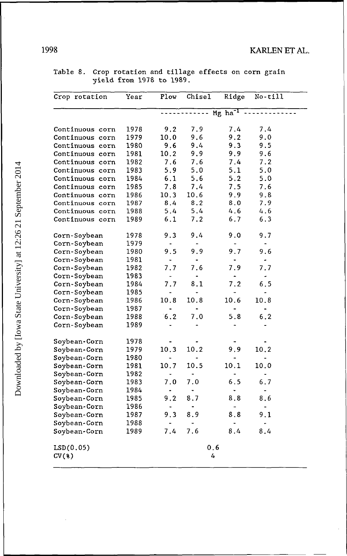| Crop rotation   | Year | Plow | Chisel | Ridge                 | $No-ti11$ |
|-----------------|------|------|--------|-----------------------|-----------|
|                 |      |      |        | $Mg$ ha <sup>-1</sup> |           |
|                 |      |      |        |                       |           |
| Continuous corn | 1978 | 9.2  | 7.9    | 7.4                   | 7.4       |
| Continuous corn | 1979 | 10.0 | 9.6    | 9.2                   | 9.0       |
| Continuous corn | 1980 | 9.6  | 9.4    | 9.3                   | 9.5       |
| Continuous corn | 1981 | 10.2 | 9.9    | 9.9                   | 9.6       |
| Continuous corn | 1982 | 7.6  | 7.6    | 7.4                   | 7.2       |
| Continuous corn | 1983 | 5.9  | 5.0    | 5.1                   | 5.0       |
| Continuous corn | 1984 | 6.1  | 5.6    | 5.2                   | 5.0       |
| Continuous corn | 1985 | 7.8  | 7.4    | 7.5                   | 7.6       |
| Continuous corn | 1986 | 10.3 | 10.6   | 9.9                   | 9.8       |
| Continuous corn | 1987 | 8.4  | 8.2    | 8.0                   | 7.9       |
| Continuous corn | 1988 | 5.4  | 5.4    | 4.6                   | 4.6       |
| Continuous corn | 1989 | 6.1  | 7.2    | 6.7                   | 6.3       |
| Corn-Soybean    | 1978 | 9.3  | 9.4    | 9.0                   | 9.7       |
| Corn-Soybean    | 1979 |      |        |                       |           |
| Corn-Soybean    | 1980 | 9.5  | 9.9    | 9.7                   | 9.6       |
| Corn-Soybean    | 1981 |      |        |                       |           |
| Corn-Soybean    | 1982 | 7.7  | 7.6    | 7.9                   | 7.7       |
| Corn-Soybean    | 1983 |      |        |                       |           |
| Corn-Soybean    | 1984 | 7.7  | 8.1    | 7.2                   | 6.5       |
| Corn-Soybean    | 1985 |      |        |                       |           |
| Corn-Soybean    | 1986 | 10.8 | 10.8   | 10.6                  | 10.8      |
| Corn-Soybean    | 1987 |      |        |                       |           |
| Corn-Soybean    | 1988 | 6.2  | 7.0    | 5.8                   | 6.2       |
| Corn-Soybean    | 1989 |      |        |                       |           |
| Soybean-Corn    | 1978 |      |        |                       |           |
| Soybean-Corn    | 1979 | 10.3 | 10.2   | 9.9                   | 10.2      |
| Soybean-Corn    | 1980 |      |        |                       |           |
| Soybean-Corn    | 1981 | 10.7 | 10.5   | 10.1                  | 10.0      |
| Soybean-Corn    | 1982 |      |        |                       |           |
| Soybean-Corn    | 1983 | 7.0  | 7.0    | 6.5                   | 6.7       |
| Soybean-Corn    | 1984 |      |        |                       |           |
| Soybean-Corn    | 1985 | 9.2  | 8.7    | 8.8                   | 8.6       |
| Soybean-Corn    | 1986 |      |        |                       |           |
| Soybean-Corn    | 1987 | 9.3  | 8.9    | 8.8                   | 9.1       |
| Soybean-Corn    | 1988 |      |        |                       |           |
| Soybean-Corn    | 1989 | 7.4  | 7.6    | 8.4                   | 8.4       |
| LSD(0.05)       |      |      |        | 0.6                   |           |
| CV(%)           |      |      |        | 4                     |           |

Table 8. Crop rotation and tillage effects on corn grain yield from 1978 to 1989.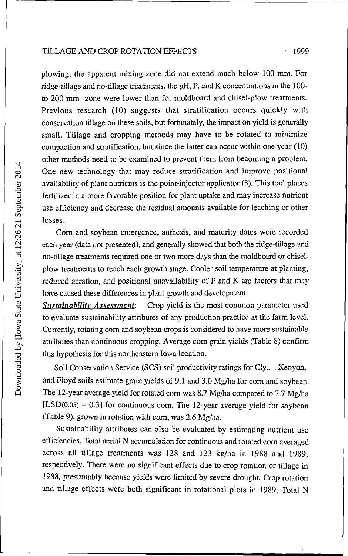plowing, the apparent mixing zone did not extend much below 100 mm. For ridge-tillage and no-tillage treatments, the pH, P, and K concentrations in the 100 to 200-mm zone were lower than for moldboard and chisel-plow treatments. Previous research (10) suggests that stratification occurs quickly with conservation tillage on these soils, but fortunately, the impact on yield is generally small. Tillage and cropping methods may have to be rotated to minimize compaction and stratification, but since the latter can occur within one year (10) other methods need to be examined to prevent them from becoming a problem. One new technology that may reduce stratification and improve positional availability of plant nutrients is the point-injector applicator (3). This tool places fertilizer in a more favorable position for plant uptake and may increase nutrient use efficiency and decrease the residual amounts available for leaching or other losses.

Corn and soybean emergence, anthesis, and maturity dates were recorded each year (data not presented), and generally showed that both the ridge-tillage and no-tillage treatments required one or two more days than the moldboard or chiselplow treatments to reach each growth stage. Cooler soil temperature at planting, reduced aeration, and positional unavailability of P and K are factors that may have caused these differences in plant growth and development.

*Snstainabilitv Assessment:* Crop yield is the most common parameter used to evaluate sustainability attributes of any production practice at the farm level. Currently, rotating corn and soybean crops is considered to have more sustainable attributes than continuous cropping. Average corn grain yields (Table 8) confirm this hypothesis for this northeastern Iowa location.

Soil Conservation Service (SCS) soil productivity ratings for Cly<sub>ce</sub>, Kenyon, and Floyd soils estimate grain yields of 9.1 and 3.0 Mg/ha for corn and soybean. The 12-year average yield for rotated corn was 8.7 Mg/ha compared to 7.7 Mg/ha  $[LSD(0.05) = 0.3]$  for continuous corn. The 12-year average yield for soybean (Table 9), grown in rotation with corn, was 2.6 Mg/ha.

Sustainability attributes can also be evaluated by estimating nutrient use efficiencies. Total aerial N accumulation for continuous and rotated corn averaged across all tillage treatments was 128 and 123 kg/ha in 1988 and 1989, respectively. There were no significant effects due to crop rotation or tillage in 1988, presumably because yields were limited by severe drought. Crop rotation and tillage effects were both significant in rotational plots in 1989. Total N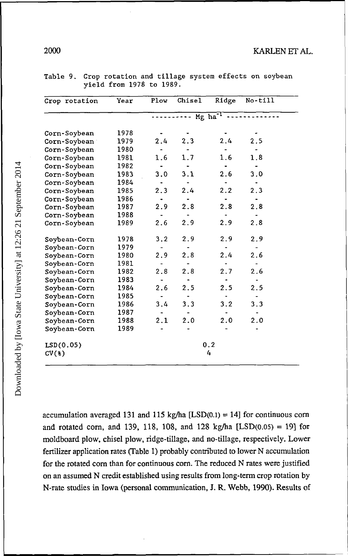2000 KARLENETAL.

| Crop rotation | Year | Plow | Chisel | Ridge                 | No-till |
|---------------|------|------|--------|-----------------------|---------|
|               |      |      |        | $Mg$ ha <sup>-1</sup> |         |
| Corn-Soybean  | 1978 |      |        |                       |         |
| Corn-Soybean  | 1979 | 2.4  | 2.3    | 2.4                   | 2.5     |
| Corn-Soybean  | 1980 |      |        |                       |         |
| Corn-Soybean  | 1981 | 1.6  | 1.7    | 1.6                   | 1.8     |
| Corn-Soybean  | 1982 |      |        |                       |         |
| Corn-Soybean  | 1983 | 3.0  | 3.1    | 2.6                   | 3.0     |
| Corn-Soybean  | 1984 |      |        |                       |         |
| Corn-Soybean  | 1985 | 2.3  | 2.4    | 2.2                   | 2.3     |
| Corn-Soybean  | 1986 |      |        |                       |         |
| Corn-Soybean  | 1987 | 2.9  | 2.8    | 2.8                   | 2.8     |
| Corn-Soybean  | 1988 |      |        |                       |         |
| Corn-Soybean  | 1989 | 2.6  | 2.9    | 2.9                   | 2.8     |
| Soybean-Corn  | 1978 | 3.2  | 2.9    | 2.9                   | 2.9     |
| Soybean-Corn  | 1979 |      |        |                       |         |
| Soybean-Corn  | 1980 | 2.9  | 2.8    | 2.4                   | 2.6     |
| Soybean-Corn  | 1981 |      |        |                       |         |
| Soybean-Corn  | 1982 | 2.8  | 2.8    | 2.7                   | 2.6     |
| Soybean-Corn  | 1983 |      |        |                       |         |
| Soybean-Corn  | 1984 | 2.6  | 2.5    | 2.5                   | 2.5     |
| Soybean-Corn  | 1985 |      |        |                       |         |
| Soybean-Corn  | 1986 | 3.4  | 3.3    | 3.2                   | 3.3     |
| Soybean-Corn  | 1987 |      |        |                       |         |
| Soybean-Corn  | 1988 | 2.1  | 2.0    | 2.0                   | 2.0     |
| Soybean-Corn  | 1989 |      |        |                       |         |
| LSD(0.05)     |      |      |        | 0.2                   |         |
| $CV(*)$       |      |      |        | 4                     |         |

Table 9. Crop rotation and tillage system effects on soybean yield from 1978 to 1989.

accumulation averaged 131 and 115 kg/ha  $[LSD(0.1) = 14]$  for continuous corn and rotated corn, and 139, 118, 108, and 128 kg/ha  $[LSD(0.05) = 19]$  for moldboard plow, chisel plow, ridge-tillage, and no-tillage, respectively. Lower fertilizer application rates (Table 1) probably contributed to lower N accumulation for the rotated com than for continuous com. The reduced N rates were justified on an assumed N credit established using results from long-term crop rotation by N-rate studies in Iowa (personal communication, J. R. Webb, 1990). Results of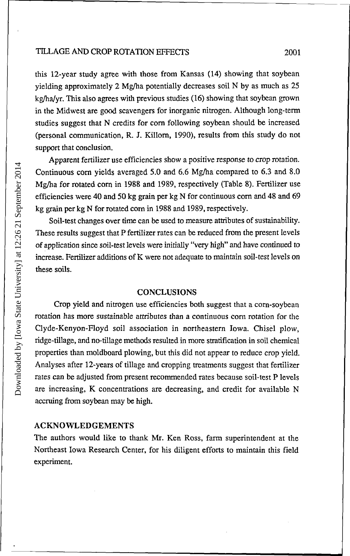this 12-year study agree with those from Kansas (14) showing that soybean yielding approximately 2 Mg/ha potentially decreases soil N by as much as 25 kg/ha/yr. This also agrees with previous studies (16) showing that soybean grown in the Midwest are good scavengers for inorganic nitrogen. Although long-term studies suggest that N credits for corn following soybean should be increased (personal communication, R. J. Killorn, 1990), results from this study do not support that conclusion.

Apparent fertilizer use efficiencies show a positive response to crop rotation. Continuous corn yields averaged 5.0 and 6.6 Mg/ha compared to 6.3 and 8.0 Mg/ha for rotated corn in 1988 and 1989, respectively (Table 8). Fertilizer use efficiencies were 40 and 50 kg grain per kg N for continuous corn and 48 and 69 kg grain per kg N for rotated corn in 1988 and 1989, respectively.

Soil-test changes over time can be used to measure attributes of sustainability. These results suggest that P fertilizer rates can be reduced from the present levels of application since soil-test levels were initially "very high" and have continued to increase. Fertilizer additions of K were not adequate to maintain soil-test levels on these soils.

### **CONCLUSIONS**

Crop yield and nitrogen use efficiencies both suggest that a corn-soybean rotation has more sustainable attributes than a continuous corn rotation for the Clyde-Kenyon-Floyd soil association in northeastern Iowa. Chisel plow, ridge-tillage, and no-tillage methods resulted in more stratification in soil chemical properties than moldboard plowing, but this did not appear to reduce crop yield. Analyses after 12-years of tillage and cropping treatments suggest that fertilizer rates can be adjusted from present recommended rates because soil-test P levels are increasing, K concentrations are decreasing, and credit for available N accruing from soybean may be high.

#### ACKNOWLEDGEMENTS

The authors would like to thank Mr. Ken Ross, farm superintendent at the Northeast Iowa Research Center, for his diligent efforts to maintain this field experiment.

Downloaded by [Iowa State University] at 12:26 21 September 2014 Downloaded by [Iowa State University] at 12:26 21 September 2014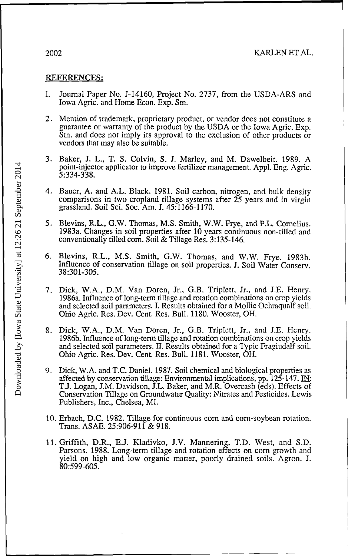### REFERENCES:

- 1. Journal Paper No. J-14160, Project No. 2737, from the USDA-ARS and Iowa Agric. and Home Econ. Exp. Stn.
- 2. Mention of trademark, proprietary product, or vendor does not constitute a guarantee or warranty of the product by the USDA or the Iowa Agric. Exp. Stn. and does not imply its approval to the exclusion of other products or vendors that may also be suitable.
- 3. Baker, J. L., T. S. Colvin, S. J. Marley, and M. Dawelbeit. 1989. A point-injector applicator to improve fertilizer management. Appl. Eng. Agric. 5:334-338.
- 4. Bauer, A. and A.L. Black. 1981. Soil carbon, nitrogen, and bulk density comparisons in two cropland tillage systems after 25 years and in virgin grassland. Soil Sci. Soc. Am. J. 45:1166-1170.
- 5. Blevins, R.L., G.W. Thomas, M.S. Smith, W.W. Frye, and P.L. Cornelius. 1983a. Changes in soil properties after 10 years continuous non-tilled and conventionally tilled corn. Soil & Tillage Res. 3:135-146.
- 6. Blevins, R.L., M.S. Smith, G.W. Thomas, and W.W. Frye. 1983b. Influence of conservation tillage on soil properties. J. Soil Water Conserv. 38:301-305.
- 7. Dick, W.A., D.M. Van Doren, Jr., G.B. Triplett, Jr., and J.E. Henry. 1986a. Influence of long-term tillage and rotation combinations on crop yields and selected soil parameters. I. Results obtained for a Mollic Ochraqualf soil. Ohio Agric. Res. Dev. Cent. Res. Bull. 1180. Wooster, OH.
- 8. Dick, W.A., D.M. Van Doren, Jr., G.B. Triplett, Jr., and J.E. Henry. 1986b. Influence of long-term tillage and rotation combinations on crop yields and selected soil parameters. II. Results obtained for a Typic Fragiudalf soil. Ohio Agric. Res. Dev. Cent. Res. Bull. 1181. Wooster, OH.
- 9. Dick, W.A. and T.C. Daniel. 1987. Soil chemical and biological properties as affected by conservation tillage: Environmental implications, pp. 125-147.  $\underline{IN}$ : T.J. Logan, J.M. Davidson, J.L. Baker, and M.R. Overcash (eds). Effects of Conservation Tillage on Groundwater Quality: Nitrates and Pesticides. Lewis Publishers, Inc., Chelsea, MI.
- 10. Erbach, D.C. 1982. Tillage for continuous corn and corn-soybean rotation. Trans. ASAE. 25:906-911 & 918.
- 11. Griffith, D.R., E.J. Kladivko, J.V. Mannering, T.D. West, and S.D. Parsons. 1988. Long-term tillage and rotation effects on corn growth and yield on high and low organic matter, poorly drained soils. Agron. J. 80:599-605.